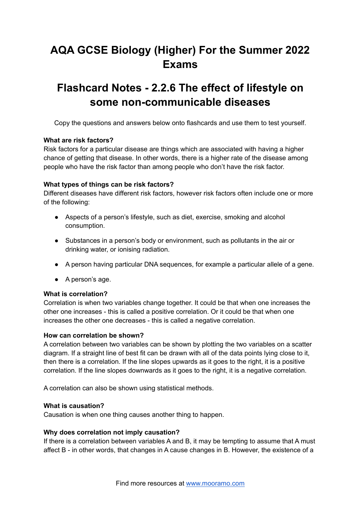# **AQA GCSE Biology (Higher) For the Summer 2022 Exams**

## **Flashcard Notes - 2.2.6 The effect of lifestyle on some non-communicable diseases**

Copy the questions and answers below onto flashcards and use them to test yourself.

## **What are risk factors?**

Risk factors for a particular disease are things which are associated with having a higher chance of getting that disease. In other words, there is a higher rate of the disease among people who have the risk factor than among people who don't have the risk factor.

## **What types of things can be risk factors?**

Different diseases have different risk factors, however risk factors often include one or more of the following:

- Aspects of a person's lifestyle, such as diet, exercise, smoking and alcohol consumption.
- Substances in a person's body or environment, such as pollutants in the air or drinking water, or ionising radiation.
- A person having particular DNA sequences, for example a particular allele of a gene.
- A person's age.

#### **What is correlation?**

Correlation is when two variables change together. It could be that when one increases the other one increases - this is called a positive correlation. Or it could be that when one increases the other one decreases - this is called a negative correlation.

#### **How can correlation be shown?**

A correlation between two variables can be shown by plotting the two variables on a scatter diagram. If a straight line of best fit can be drawn with all of the data points lying close to it, then there is a correlation. If the line slopes upwards as it goes to the right, it is a positive correlation. If the line slopes downwards as it goes to the right, it is a negative correlation.

A correlation can also be shown using statistical methods.

#### **What is causation?**

Causation is when one thing causes another thing to happen.

#### **Why does correlation not imply causation?**

If there is a correlation between variables A and B, it may be tempting to assume that A must affect B - in other words, that changes in A cause changes in B. However, the existence of a